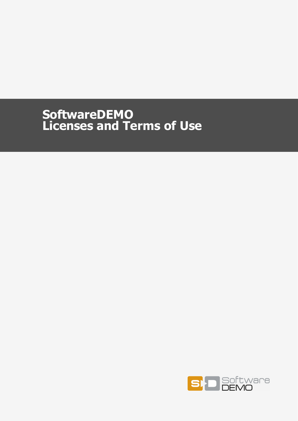# **SoftwareDEMO Licenses and Terms of Use**

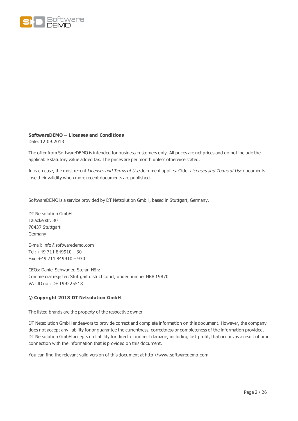

#### **SoftwareDEMO – Licenses and Conditions**

Date: 12.09.2013

The offer from SoftwareDEMO is intended for business customers only. All prices are net prices and do not include the applicable statutory value added tax. The prices are per month unless otherwise stated.

In each case, the most recent Licenses and Terms of Use document applies. Older Licenses and Terms of Use documents lose their validity when more recent documents are published.

SoftwareDEMO is a service provided by DT Netsolution GmbH, based in Stuttgart, Germany.

DT Netsolution GmbH Taläckerstr. 30 70437 Stuttgart Germany

E-mail: info@softwaredemo.com Tel: +49 711 849910 – 30 Fax: +49 711 849910 – 930

CEOs: Daniel Schwager, Stefan Hörz Commercial register: Stuttgart district court, under number HRB 19870 VAT ID no.: DE 199225518

#### **© Copyright 2013 DT Netsolution GmbH**

The listed brands are the property of the respective owner.

DT Netsolution GmbH endeavors to provide correct and complete information on this document. However, the company does not accept any liability for or guarantee the currentness, correctness or completeness of the information provided. DT Netsolution GmbH accepts no liability for direct or indirect damage, including lost profit, that occurs as a result of or in connection with the information that is provided on this document.

You can find the relevant valid version of this document at http://www.softwaredemo.com.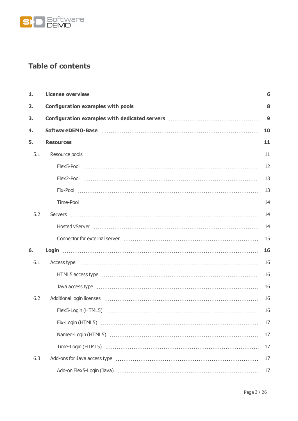

# **Table of contents**

| 1.  | License overview manufactured and control of the control of the control of the control of the control of the c | 6  |
|-----|----------------------------------------------------------------------------------------------------------------|----|
| 2.  |                                                                                                                | 8  |
| 3.  |                                                                                                                | 9  |
| 4.  |                                                                                                                | 10 |
| 5.  |                                                                                                                | 11 |
| 5.1 |                                                                                                                | 11 |
|     |                                                                                                                | 12 |
|     |                                                                                                                | 13 |
|     |                                                                                                                | 13 |
|     |                                                                                                                | 14 |
| 5.2 |                                                                                                                | 14 |
|     |                                                                                                                | 14 |
|     |                                                                                                                | 15 |
| 6.  |                                                                                                                | 16 |
| 6.1 | Access type …………………………………………………………………………………………                                                                 | 16 |
|     | HTML5 access type manufactured and access type manufactured and access type manufactured and access type       | 16 |
|     |                                                                                                                | 16 |
| 6.2 |                                                                                                                | 16 |
|     |                                                                                                                | 16 |
|     |                                                                                                                | 17 |
|     |                                                                                                                | 17 |
|     |                                                                                                                | 17 |
| 6.3 |                                                                                                                | 17 |
|     |                                                                                                                | 17 |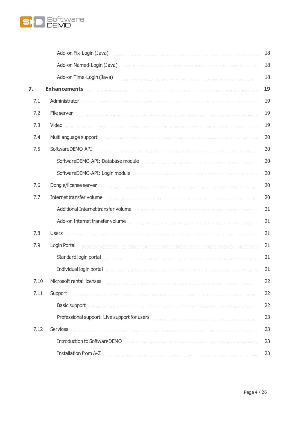

|      | Add-on Fix-Login (Java) (1998) (1999) (1999) (1999) (1999) (1999) (1999) (1999) (1999) (1999) (1999) (1999) (1 | 18 |
|------|----------------------------------------------------------------------------------------------------------------|----|
|      |                                                                                                                | 18 |
|      |                                                                                                                | 18 |
| 7.   |                                                                                                                | 19 |
| 7.1  |                                                                                                                | 19 |
| 7.2  |                                                                                                                | 19 |
| 7.3  |                                                                                                                | 19 |
| 7.4  |                                                                                                                | 20 |
| 7.5  |                                                                                                                | 20 |
|      |                                                                                                                | 20 |
|      |                                                                                                                | 20 |
| 7.6  |                                                                                                                | 20 |
| 7.7  |                                                                                                                | 20 |
|      |                                                                                                                | 21 |
|      |                                                                                                                | 21 |
| 7.8  |                                                                                                                | 21 |
| 7.9  |                                                                                                                | 21 |
|      | Standard login portal (1999) (1999) (1999) (1999) (1999) (1999) (1999) (1999) (1999) (1999) (1999) (1999) (199 | 21 |
|      |                                                                                                                | 21 |
| 7.10 |                                                                                                                | 22 |
| 7.11 |                                                                                                                | 22 |
|      |                                                                                                                | 22 |
|      |                                                                                                                | 23 |
| 7.12 | <b>Services</b>                                                                                                | 23 |
|      |                                                                                                                | 23 |
|      |                                                                                                                | 23 |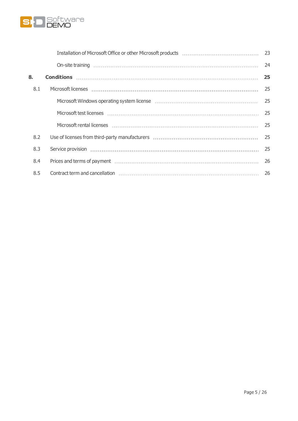

|     | 23 |
|-----|----|
|     | 24 |
| 8.  | 25 |
| 8.1 | 25 |
|     | 25 |
|     | 25 |
|     | 25 |
| 8.2 | 25 |
| 8.3 | 25 |
| 8.4 | 26 |
| 8.5 | 26 |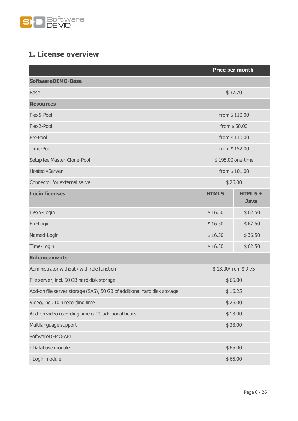

# <span id="page-5-0"></span>**1. License overview**

|                                                                         |               | Price per month          |
|-------------------------------------------------------------------------|---------------|--------------------------|
| <b>SoftwareDEMO-Base</b>                                                |               |                          |
| <b>Base</b>                                                             | \$37.70       |                          |
| <b>Resources</b>                                                        |               |                          |
| Flex5-Pool                                                              | from \$110.00 |                          |
| Flex2-Pool                                                              |               | from \$50.00             |
| Fix-Pool                                                                |               | from \$110.00            |
| Time-Pool                                                               |               | from \$152.00            |
| Setup fee Master-Clone-Pool                                             |               | \$195.00 one-time        |
| <b>Hosted vServer</b>                                                   |               | from \$101.00            |
| Connector for external server                                           |               | \$26.00                  |
| <b>Login licenses</b>                                                   | <b>HTML5</b>  | $HTML5 +$<br><b>Java</b> |
| Flex5-Login                                                             | \$16.50       | \$62.50                  |
| Fix-Login                                                               | \$16.50       | \$62.50                  |
| Named-Login                                                             | \$16.50       | \$36.50                  |
| Time-Login                                                              | \$16.50       | \$62.50                  |
| <b>Enhancements</b>                                                     |               |                          |
| Administrator without / with role function                              |               | \$13.00/from \$9.75      |
| File server, incl. 50 GB hard disk storage                              |               | \$65.00                  |
| Add-on file server storage (SAS), 50 GB of additional hard disk storage |               | \$16.25                  |
| Video, incl. 10 h recording time                                        | \$26.00       |                          |
| Add-on video recording time of 20 additional hours<br>\$13.00           |               |                          |
| Multilanguage support<br>\$33.00                                        |               |                          |
| SoftwareDEMO-API                                                        |               |                          |
| - Database module                                                       |               | \$65.00                  |
| - Login module                                                          |               | \$65.00                  |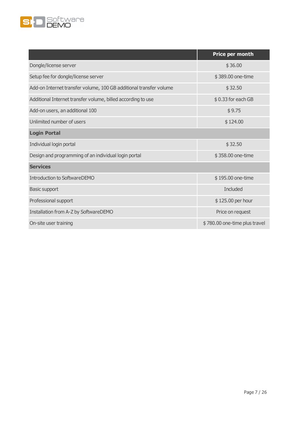

|                                                                    | Price per month               |
|--------------------------------------------------------------------|-------------------------------|
| Dongle/license server                                              | \$36.00                       |
| Setup fee for dongle/license server                                | \$389.00 one-time             |
| Add-on Internet transfer volume, 100 GB additional transfer volume | \$32.50                       |
| Additional Internet transfer volume, billed according to use       | \$0.33 for each GB            |
| Add-on users, an additional 100                                    | \$9.75                        |
| Unlimited number of users                                          | \$124.00                      |
| <b>Login Portal</b>                                                |                               |
| Individual login portal                                            | \$32.50                       |
| Design and programming of an individual login portal               | \$358.00 one-time             |
| <b>Services</b>                                                    |                               |
| <b>Introduction to SoftwareDEMO</b>                                | \$195.00 one-time             |
| <b>Basic support</b>                                               | <b>Included</b>               |
| Professional support                                               | \$125.00 per hour             |
| Installation from A-Z by SoftwareDEMO                              | Price on request              |
| On-site user training                                              | \$780.00 one-time plus travel |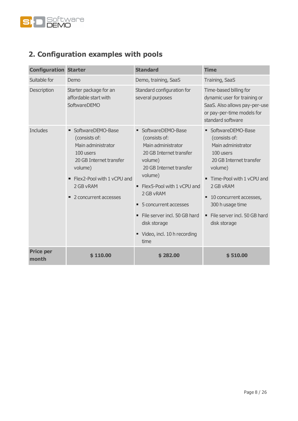

# <span id="page-7-0"></span>**2. Configuration examples with pools**

| <b>Configuration Starter</b> |                                                                                                                                                                                         | <b>Standard</b>                                                                                                                                                                                                                                                                                                                       | <b>Time</b>                                                                                                                                                                                                                                                     |
|------------------------------|-----------------------------------------------------------------------------------------------------------------------------------------------------------------------------------------|---------------------------------------------------------------------------------------------------------------------------------------------------------------------------------------------------------------------------------------------------------------------------------------------------------------------------------------|-----------------------------------------------------------------------------------------------------------------------------------------------------------------------------------------------------------------------------------------------------------------|
| Suitable for                 | Demo                                                                                                                                                                                    | Demo, training, SaaS                                                                                                                                                                                                                                                                                                                  | Training, SaaS                                                                                                                                                                                                                                                  |
| Description                  | Starter package for an<br>affordable start with<br>SoftwareDEMO                                                                                                                         | Standard configuration for<br>several purposes                                                                                                                                                                                                                                                                                        | Time-based billing for<br>dynamic user for training or<br>SaaS. Also allows pay-per-use<br>or pay-per-time models for<br>standard software                                                                                                                      |
| <b>Includes</b>              | SoftwareDEMO-Base<br>(consists of:<br>Main administrator<br>100 users<br>20 GB Internet transfer<br>volume)<br>• Flex2-Pool with 1 yCPU and<br>2 GB vRAM<br>2 concurrent accesses<br>π. | SoftwareDEMO-Base<br>(consists of:<br>Main administrator<br>20 GB Internet transfer<br>volume)<br>20 GB Internet transfer<br>volume)<br>• Flex5-Pool with 1 yCPU and<br>2 GB vRAM<br>5 concurrent accesses<br>$\blacksquare$<br>File server incl. 50 GB hard<br>$\blacksquare$<br>disk storage<br>Video, incl. 10 h recording<br>time | • SoftwareDEMO-Base<br>(consists of:<br>Main administrator<br>100 users<br>20 GB Internet transfer<br>volume)<br>■ Time-Pool with 1 yCPU and<br>2 GB vRAM<br>10 concurrent accesses,<br>٠<br>300 h usage time<br>" File server incl. 50 GB hard<br>disk storage |
| <b>Price per</b><br>month    | \$110.00                                                                                                                                                                                | \$282.00                                                                                                                                                                                                                                                                                                                              | \$510.00                                                                                                                                                                                                                                                        |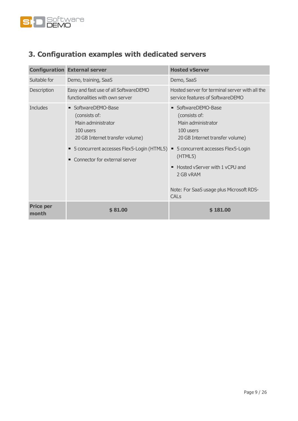

# <span id="page-8-0"></span>**3. Configuration examples with dedicated servers**

|                           | <b>Configuration External server</b>                                                                                                                                                       | <b>Hosted vServer</b>                                                                                                                                                                                                                                                          |
|---------------------------|--------------------------------------------------------------------------------------------------------------------------------------------------------------------------------------------|--------------------------------------------------------------------------------------------------------------------------------------------------------------------------------------------------------------------------------------------------------------------------------|
| Suitable for              | Demo, training, SaaS                                                                                                                                                                       | Demo, SaaS                                                                                                                                                                                                                                                                     |
| Description               | Easy and fast use of all SoftwareDEMO<br>functionalities with own server                                                                                                                   | Hosted server for terminal server with all the<br>service features of SoftwareDEMO                                                                                                                                                                                             |
| <b>Includes</b>           | • SoftwareDEMO-Base<br>(consists of:<br>Main administrator<br>100 users<br>20 GB Internet transfer volume)<br>5 concurrent accesses Flex5-Login (HTML5) .<br>Connector for external server | • SoftwareDEMO-Base<br>(consists of:<br>Main administrator<br>100 users<br>20 GB Internet transfer volume)<br>5 concurrent accesses Flex5-Login<br>(HTML5)<br>Hosted vServer with 1 yCPU and<br>٠<br>2 GB vRAM<br>Note: For SaaS usage plus Microsoft RDS-<br>CAL <sub>S</sub> |
| <b>Price per</b><br>month | \$81.00                                                                                                                                                                                    | \$181.00                                                                                                                                                                                                                                                                       |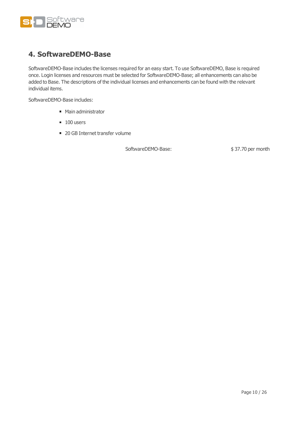

### <span id="page-9-0"></span>**4. SoftwareDEMO-Base**

SoftwareDEMO-Base includes the licenses required for an easy start. To use SoftwareDEMO, Base is required once. Login licenses and resources must be selected for SoftwareDEMO-Base; all enhancements can also be added to Base. The descriptions of the individual licenses and enhancements can be found with the relevant individual items.

SoftwareDEMO-Base includes:

- Main administrator
- $100$  users
- 20 GB Internet transfer volume

SoftwareDEMO-Base:  $$37.70$  per month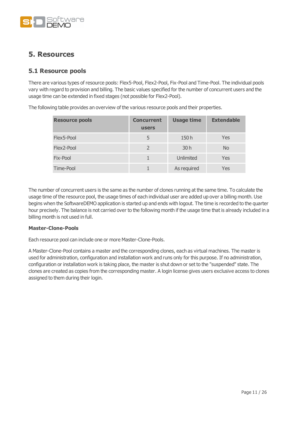

### <span id="page-10-0"></span>**5. Resources**

### <span id="page-10-1"></span>**5.1 Resource pools**

There are various types of resource pools: Flex5-Pool, Flex2-Pool, Fix-Pool and Time-Pool. The individual pools vary with regard to provision and billing. The basic values specified for the number of concurrent users and the usage time can be extended in fixed stages (not possible for Flex2-Pool).

| <b>Resource pools</b> | <b>Concurrent</b><br><b>users</b> | <b>Usage time</b> | <b>Extendable</b> |
|-----------------------|-----------------------------------|-------------------|-------------------|
| Flex5-Pool            | 5                                 | 150h              | Yes               |
| Flex2-Pool            |                                   | 30h               | <b>No</b>         |
| Fix-Pool              |                                   | Unlimited         | Yes               |
| Time-Pool             |                                   | As required       | Yes               |

The following table provides an overview of the various resource pools and their properties.

The number of concurrent users is the same as the number of clones running at the same time. To calculate the usage time of the resource pool, the usage times of each individual user are added up over a billing month. Use begins when the SoftwareDEMO application is started up and ends with logout. The time is recorded to the quarter hour precisely. The balance is not carried over to the following month if the usage time that is already included in a billing month is not used in full.

#### **Master-Clone-Pools**

Each resource pool can include one or more Master-Clone-Pools.

A Master-Clone-Pool contains a master and the corresponding clones, each as virtual machines. The master is used for administration, configuration and installation work and runs only for this purpose. If no administration, configuration or installation work is taking place, the master is shut down or set to the "suspended" state. The clones are created as copies from the corresponding master. A login license gives users exclusive access to clones assigned to them during their login.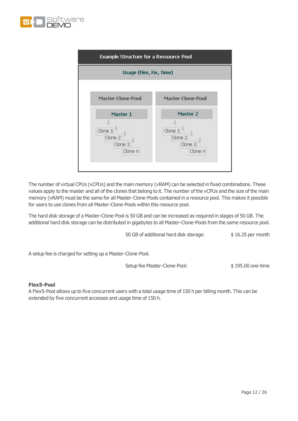



The number of virtual CPUs (vCPUs) and the main memory (vRAM) can be selected in fixed combinations. These values apply to the master and all of the clones that belong to it. The number of the vCPUs and the size of the main memory (vRAM) must be the same for all Master-Clone-Pools contained in a resource pool. This makes it possible for users to use clones from all Master-Clone-Pools within this resource pool.

The hard disk storage of a Master-Clone-Pool is 50 GB and can be increased as required in stages of 50 GB. The additional hard disk storage can be distributed in gigabytes to all Master-Clone-Pools from the same resource pool.

50 GB of additional hard disk storage: \$16.25 per month

A setup fee is charged for setting up a Master-Clone-Pool.

Setup fee Master-Clone-Pool: \$195.00 one-time

#### <span id="page-11-0"></span>**Flex5-Pool**

A Flex5-Pool allows up to five concurrent users with a total usage time of 150 h per billing month. This can be extended by five concurrent accesses and usage time of 150 h.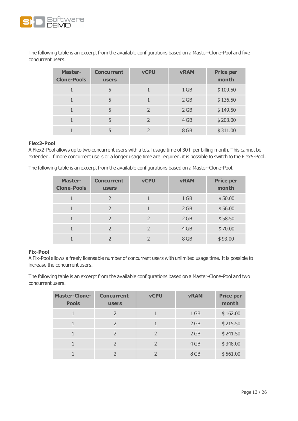

The following table is an excerpt from the available configurations based on a Master-Clone-Pool and five concurrent users.

| <b>Master-</b><br><b>Clone-Pools</b> | <b>Concurrent</b><br><b>users</b> | <b>vCPU</b>   | <b>vRAM</b>     | <b>Price per</b><br>month |
|--------------------------------------|-----------------------------------|---------------|-----------------|---------------------------|
|                                      | 5                                 |               | 1 <sub>GB</sub> | \$109.50                  |
|                                      | 5                                 |               | 2 GB            | \$136.50                  |
|                                      | 5                                 | $\mathcal{P}$ | 2 GB            | \$149.50                  |
|                                      | 5                                 | $\mathcal{P}$ | 4 GB            | \$203.00                  |
|                                      |                                   |               | 8 GB            | \$311.00                  |

#### <span id="page-12-0"></span>**Flex2-Pool**

A Flex2-Pool allows up to two concurrent users with a total usage time of 30 h per billing month. This cannot be extended. If more concurrent users or a longer usage time are required, it is possible to switch to the Flex5-Pool.

The following table is an excerpt from the available configurations based on a Master-Clone-Pool.

| <b>Master-</b><br><b>Clone-Pools</b> | <b>Concurrent</b><br><b>users</b> | <b>vCPU</b>   | <b>vRAM</b>     | <b>Price per</b><br>month |
|--------------------------------------|-----------------------------------|---------------|-----------------|---------------------------|
|                                      |                                   |               | 1 <sub>GB</sub> | \$50.00                   |
|                                      | $\mathcal{L}$                     |               | 2 GB            | \$56.00                   |
|                                      | $\mathcal{L}$                     | $\mathcal{L}$ | 2 GB            | \$58.50                   |
|                                      |                                   |               | 4 GB            | \$70.00                   |
|                                      |                                   |               | 8 GB            | \$93.00                   |

#### <span id="page-12-1"></span>**Fix-Pool**

A Fix-Pool allows a freely licensable number of concurrent users with unlimited usage time. It is possible to increase the concurrent users.

The following table is an excerpt from the available configurations based on a Master-Clone-Pool and two concurrent users.

| <b>Master-Clone-</b><br><b>Pools</b> | <b>Concurrent</b><br><b>users</b> | <b>vCPU</b>   | <b>vRAM</b>     | <b>Price per</b><br>month |
|--------------------------------------|-----------------------------------|---------------|-----------------|---------------------------|
|                                      | 2                                 |               | 1 <sub>GB</sub> | \$162.00                  |
|                                      |                                   |               | 2 GB            | \$215.50                  |
|                                      | $\mathcal{P}$                     | $\mathcal{P}$ | 2 GB            | \$241.50                  |
|                                      |                                   |               | 4 GB            | \$348.00                  |
|                                      |                                   |               | 8 GB            | \$561.00                  |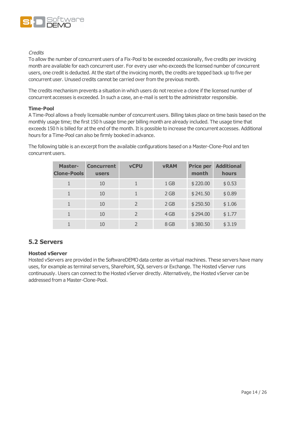

#### **Credits**

To allow the number of concurrent users of a Fix-Pool to be exceeded occasionally, five credits per invoicing month are available for each concurrent user. For every user who exceeds the licensed number of concurrent users, one credit is deducted. At the start of the invoicing month, the credits are topped back up to five per concurrent user. Unused credits cannot be carried over from the previous month.

The credits mechanism prevents a situation in which users do not receive a clone if the licensed number of concurrent accesses is exceeded. In such a case, an e-mail is sent to the administrator responsible.

#### <span id="page-13-0"></span>**Time-Pool**

A Time-Pool allows a freely licensable number of concurrent users. Billing takes place on time basis based on the monthly usage time; the first 150 h usage time per billing month are already included. The usage time that exceeds 150 h is billed for at the end of the month. It is possible to increase the concurrent accesses. Additional hours for a Time-Pool can also be firmly booked in advance.

The following table is an excerpt from the available configurations based on a Master-Clone-Pool and ten concurrent users.

| <b>Master-</b><br><b>Clone-Pools</b> | <b>Concurrent</b><br><b>users</b> | <b>vCPU</b>              | <b>vRAM</b> | <b>Price per</b><br>month | <b>Additional</b><br>hours |
|--------------------------------------|-----------------------------------|--------------------------|-------------|---------------------------|----------------------------|
| 1                                    | 10                                | 1                        | 1 GB        | \$220.00                  | \$0.53                     |
|                                      | 10                                |                          | 2 GB        | \$241.50                  | \$0.89                     |
|                                      | 10                                | $\overline{\phantom{0}}$ | 2 GB        | \$250.50                  | \$1.06                     |
|                                      | 10                                | $\overline{\phantom{0}}$ | 4 GB        | \$294.00                  | \$1.77                     |
|                                      | 10                                | $\overline{\phantom{0}}$ | 8 GB        | \$380.50                  | \$3.19                     |

### <span id="page-13-2"></span><span id="page-13-1"></span>**5.2 Servers**

### **Hosted vServer**

Hosted vServers are provided in the SoftwareDEMO data center as virtual machines. These servers have many uses, for example as terminal servers, SharePoint, SQL servers or Exchange. The Hosted vServer runs continuously. Users can connect to the Hosted vServer directly. Alternatively, the Hosted vServer can be addressed from a Master-Clone-Pool.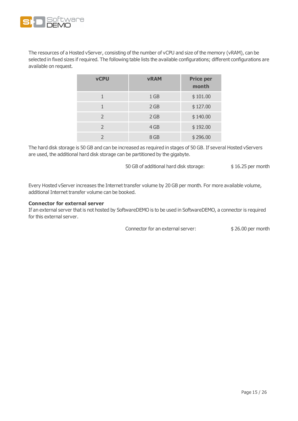

The resources of a Hosted vServer, consisting of the number of vCPU and size of the memory (vRAM), can be selected in fixed sizes if required. The following table lists the available configurations; different configurations are available on request.

| <b>vCPU</b>   | <b>vRAM</b>     | <b>Price per</b><br>month |
|---------------|-----------------|---------------------------|
|               | 1 <sub>GB</sub> | \$101.00                  |
|               | 2 GB            | \$127.00                  |
| $\mathcal{P}$ | 2 GB            | \$140.00                  |
| $\mathcal{L}$ | 4 GB            | \$192.00                  |
|               | 8 GB            | \$296.00                  |

The hard disk storage is 50 GB and can be increased as required in stages of 50 GB. If several Hosted vServers are used, the additional hard disk storage can be partitioned by the gigabyte.

50 GB of additional hard disk storage: \$16.25 per month

Every Hosted vServer increases the Internet transfer volume by 20 GB per month. For more available volume, additional Internet transfer volume can be booked.

#### <span id="page-14-0"></span>**Connector for external server**

If an external server that is not hosted by SoftwareDEMO is to be used in SoftwareDEMO, a connector is required for this external server.

Connector for an external server:  $$ 26.00$  per month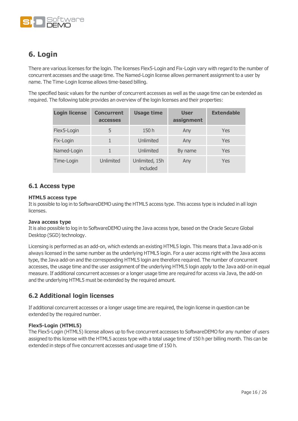

## <span id="page-15-0"></span>**6. Login**

There are various licenses for the login. The licenses Flex5-Login and Fix-Login vary with regard to the number of concurrent accesses and the usage time. The Named-Login license allows permanent assignment to a user by name. The Time-Login license allows time-based billing.

The specified basic values for the number of concurrent accesses as well as the usage time can be extended as required. The following table provides an overview of the login licenses and their properties:

| <b>Login license</b> | <b>Concurrent</b><br><b>accesses</b> | <b>Usage time</b>          | <b>User</b><br>assignment | <b>Extendable</b> |
|----------------------|--------------------------------------|----------------------------|---------------------------|-------------------|
| Flex5-Login          | 5                                    | 150h                       | Any                       | Yes               |
| Fix-Login            |                                      | Unlimited                  | Any                       | Yes               |
| Named-Login          |                                      | Unlimited                  | By name                   | Yes               |
| Time-Login           | Unlimited                            | Unlimited, 15h<br>included | Any                       | Yes               |

### <span id="page-15-2"></span><span id="page-15-1"></span>**6.1 Access type**

### **HTML5 access type**

It is possible to log in to SoftwareDEMO using the HTML5 access type. This access type is included in all login licenses.

#### <span id="page-15-3"></span>**Java access type**

It is also possible to log in to SoftwareDEMO using the Java access type, based on the Oracle Secure Global Desktop (SGD) technology.

Licensing is performed as an add-on, which extends an existing HTML5 login. This means that a Java add-on is always licensed in the same number as the underlying HTML5 login. For a user access right with the Java access type, the Java add-on and the corresponding HTML5 login are therefore required. The number of concurrent accesses, the usage time and the user assignment of the underlying HTML5 login apply to the Java add-on in equal measure. If additional concurrent accesses or a longer usage time are required for access via Java, the add-on and the underlying HTML5 must be extended by the required amount.

### <span id="page-15-4"></span>**6.2 Additional login licenses**

If additional concurrent accesses or a longer usage time are required, the login license in question can be extended by the required number.

#### <span id="page-15-5"></span>**Flex5-Login (HTML5)**

The Flex5-Login (HTML5) license allows up to five concurrent accesses to SoftwareDEMO for any number of users assigned to this license with the HTML5 access type with a total usage time of 150 h per billing month. This can be extended in steps of five concurrent accesses and usage time of 150 h.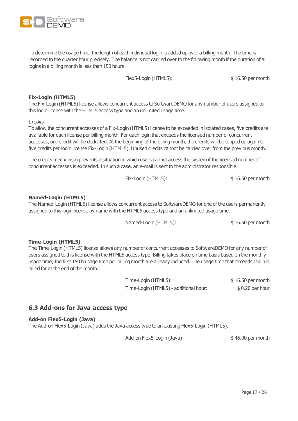To determine the usage time, the length of each individual login is added up over a billing month. The time is recorded to the quarter hour precisely. The balance is not carried over to the following month if the duration of all logins in a billing month is less than 150 hours.

Flex5-Login (HTML5):  $$16.50$  per month

### <span id="page-16-0"></span>**Fix-Login (HTML5)**

The Fix-Login (HTML5) license allows concurrent access to SoftwareDEMO for any number of users assigned to this login license with the HTML5 access type and an unlimited usage time.

### **Credits**

To allow the concurrent accesses of a Fix-Login (HTML5) license to be exceeded in isolated cases, five credits are available for each license per billing month. For each login that exceeds the licensed number of concurrent accesses, one credit will be deducted. At the beginning of the billing month, the credits will be topped up again to five credits per login license Fix-Login (HTML5). Unused credits cannot be carried over from the previous month.

The credits mechanism prevents a situation in which users cannot access the system if the licensed number of concurrent accesses is exceeded. In such a case, an e-mail is sent to the administrator responsible.

#### <span id="page-16-1"></span>**Named-Login (HTML5)**

The Named-Login (HTML5) license allows concurrent access to SoftwareDEMO for one of the users permanently assigned to this login license by name with the HTML5 access type and an unlimited usage time.

Named-Login (HTML5):  $$ 16.50 \text{ per month}$ 

### <span id="page-16-2"></span>**Time-Login (HTML5)**

The Time-Login (HTML5) license allows any number of concurrent accesses to SoftwareDEMO for any number of users assigned to this license with the HTML5 access type. Billing takes place on time basis based on the monthly usage time; the first 150 h usage time per billing month are already included. The usage time that exceeds 150 h is billed for at the end of the month.

> Time-Login (HTML5):  $$ 16.50$  per month Time-Login (HTML5) - additional hour: \$ 0.20 per hour

### <span id="page-16-4"></span><span id="page-16-3"></span>**6.3 Add-ons for Java access type**

### **Add-on Flex5-Login (Java)**

The Add-on Flex5-Login (Java) adds the Java access type to an existing Flex5-Login (HTML5).

Add-on Flex5-Login (Java):  $$46.00$  per month



Fix-Login (HTML5):  $$ 16.50$  per month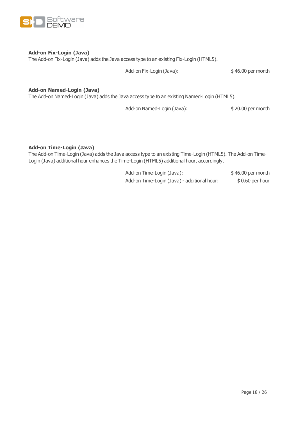

### <span id="page-17-0"></span>**Add-on Fix-Login (Java)**

The Add-on Fix-Login (Java) adds the Java access type to an existing Fix-Login (HTML5).

Add-on Fix-Login (Java):  $$46.00$  per month

### <span id="page-17-1"></span>**Add-on Named-Login (Java)**

The Add-on Named-Login (Java) adds the Java access type to an existing Named-Login (HTML5).

Add-on Named-Login (Java):  $$20.00$  per month

### <span id="page-17-2"></span>**Add-on Time-Login (Java)**

The Add-on Time-Login (Java) adds the Java access type to an existing Time-Login (HTML5). The Add-on Time-Login (Java) additional hour enhances the Time-Login (HTML5) additional hour, accordingly.

> Add-on Time-Login (Java):  $$46.00$  per month Add-on Time-Login (Java) - additional hour: \$ 0.60 per hour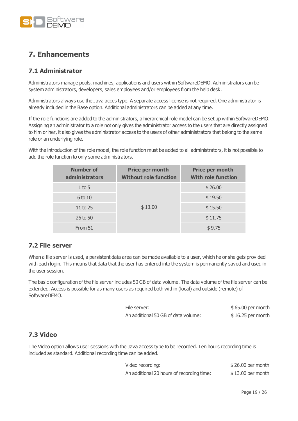

## <span id="page-18-0"></span>**7. Enhancements**

### <span id="page-18-1"></span>**7.1 Administrator**

Administrators manage pools, machines, applications and users within SoftwareDEMO. Administrators can be system administrators, developers, sales employees and/or employees from the help desk.

Administrators always use the Java acces type. A separate access license is not required. One administrator is already included in the Base option. Additional administrators can be added at any time.

If the role functions are added to the administrators, a hierarchical role model can be set up within SoftwareDEMO. Assigning an administrator to a role not only gives the administrator access to the users that are directly assigned to him or her, it also gives the administrator access to the users of other administrators that belong to the same role or an underlying role.

With the introduction of the role model, the role function must be added to all administrators, it is not possible to add the role function to only some administrators.

| <b>Number of</b><br>administrators | Price per month<br><b>Without role function</b> | Price per month<br><b>With role function</b> |
|------------------------------------|-------------------------------------------------|----------------------------------------------|
| $1$ to 5                           | \$13.00                                         | \$26.00                                      |
| 6 to 10                            |                                                 | \$19.50                                      |
| 11 to $25$                         |                                                 | \$15.50                                      |
| 26 to 50                           |                                                 | \$11.75                                      |
| From 51                            |                                                 | \$9.75                                       |

### <span id="page-18-2"></span>**7.2 File server**

When a file server is used, a persistent data area can be made available to a user, which he or she gets provided with each login. This means that data that the user has entered into the system is permanently saved and used in the user session.

The basic configuration of the file server includes 50 GB of data volume. The data volume of the file server can be extended. Access is possible for as many users as required both within (local) and outside (remote) of SoftwareDEMO.

| File server:                        | $$65.00$ per month |
|-------------------------------------|--------------------|
| An additional 50 GB of data volume: | $$16.25$ per month |

### <span id="page-18-3"></span>**7.3 Video**

The Video option allows user sessions with the Java access type to be recorded. Ten hours recording time is included as standard. Additional recording time can be added.

| Video recording:                          | $$26.00$ per month |
|-------------------------------------------|--------------------|
| An additional 20 hours of recording time: | $$13.00$ per month |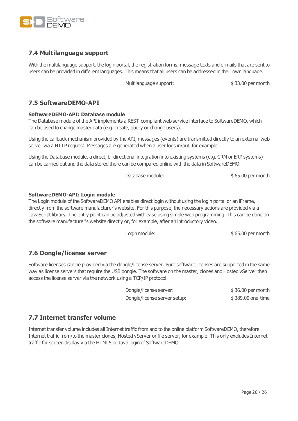

### <span id="page-19-0"></span>**7.4 Multilanguage support**

With the multilanguage support, the login portal, the registration forms, message texts and e-mails that are sent to users can be provided in different languages. This means that all users can be addressed in their own language.

Multilanguage support:  $$ 33.00$  per month

### <span id="page-19-2"></span><span id="page-19-1"></span>**7.5 SoftwareDEMO-API**

### **SoftwareDEMO-API: Database module**

The Database module of the API implements a REST-compliant web service interface to SoftwareDEMO, which can be used to change master data (e.g. create, query or change users).

Using the callback mechanism provided by the API, messages (events) are transmitted directly to an external web server via a HTTP request. Messages are generated when a user logs in/out, for example.

Using the Database module, a direct, bi-directional integration into existing systems (e.g. CRM or ERP systems) can be carried out and the data stored there can be compared online with the data in SoftwareDEMO.

Database module:  $$ 65.00$  per month

### <span id="page-19-3"></span>**SoftwareDEMO-API: Login module**

The Login module of the SoftwareDEMO API enables direct login without using the login portal or an iFrame, directly from the software manufacturer's website. For this purpose, the necessary actions are provided via a JavaScript library. The entry point can be adjusted with ease using simple web programming. This can be done on the software manufacturer's website directly or, for example, after an introductory video.

Login module:  $$65.00$  per month

### <span id="page-19-4"></span>**7.6 Dongle/license server**

Software licenses can be provided via the dongle/license server. Pure software licenses are supported in the same way as license servers that require the USB dongle. The software on the master, clones and Hosted vServer then access the license server via the network using a TCP/IP protocol.

| Dongle/license server:       | $$36.00$ per month |
|------------------------------|--------------------|
| Dongle/license server setup: | \$389.00 one-time  |

### <span id="page-19-5"></span>**7.7 Internet transfer volume**

Internet transfer volume includes all Internet traffic from and to the online platform SoftwareDEMO, therefore Internet traffic from/to the master clones, Hosted vServer or file server, for example. This only excludes Internet traffic for screen display via the HTML5 or Java login of SoftwareDEMO.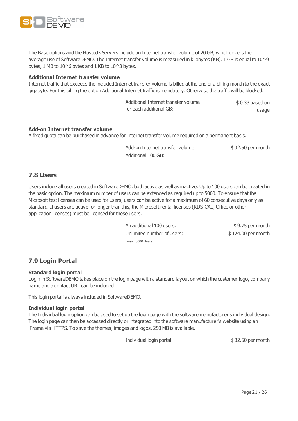

The Base options and the Hosted vServers include an Internet transfer volume of 20 GB, which covers the average use of SoftwareDEMO. The Internet transfer volume is measured in kilobytes (KB). 1 GB is equal to 10^9 bytes, 1 MB to  $10^{\circ}6$  bytes and 1 KB to  $10^{\circ}3$  bytes.

#### <span id="page-20-0"></span>**Additional Internet transfer volume**

Internet traffic that exceeds the included Internet transfer volume is billed at the end of a billing month to the exact gigabyte. For this billing the option Additional Internet traffic is mandatory. Otherwise the traffic will be blocked.

| Additional Internet transfer volume | $$0.33$ based on |
|-------------------------------------|------------------|
| for each additional GB:             | usage            |

#### <span id="page-20-1"></span>**Add-on Internet transfer volume**

A fixed quota can be purchased in advance for Internet transfer volume required on a permanent basis.

Add-on Internet transfer volume \$32.50 per month Additional 100 GB:

### <span id="page-20-2"></span>**7.8 Users**

Users include all users created in SoftwareDEMO, both active as well as inactive. Up to 100 users can be created in the basic option. The maximum number of users can be extended as required up to 5000. To ensure that the Microsoft test licenses can be used for users, users can be active for a maximum of 60 consecutive days only as standard. If users are active for longer than this, the Microsoft rental licenses (RDS-CAL, Office or other application licenses) must be licensed for these users.

> An additional 100 users:  $$ 9.75$  per month Unlimited number of users:  $$ 124.00$  per month (max. 5000 Users)

### <span id="page-20-4"></span><span id="page-20-3"></span>**7.9 Login Portal**

### **Standard login portal**

Login in SoftwareDEMO takes place on the login page with a standard layout on which the customer logo, company name and a contact URL can be included.

<span id="page-20-5"></span>This login portal is always included in SoftwareDEMO.

#### **Individual login portal**

The Individual login option can be used to set up the login page with the software manufacturer's individual design. The login page can then be accessed directly or integrated into the software manufacturer's website using an iFrame via HTTPS. To save the themes, images and logos, 250 MB is available.

Individual login portal:  $$ 32.50$  per month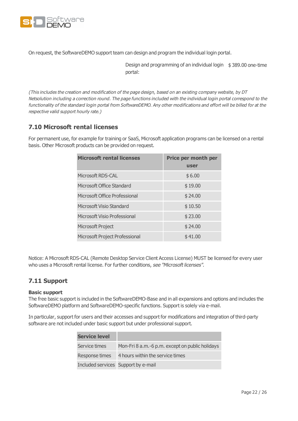

On request, the SoftwareDEMO support team can design and program the individual login portal.

Design and programming of an individual login \$ 389.00 one-time portal:

(This includes the creation and modification of the page design, based on an existing company website, by DT Netsolution including <sup>a</sup> correction round. The page functions included with the individual login portal correspond to the functionality of the standard login portal from SoftwareDEMO. Any other modifications and effort will be billed for at the respective valid support hourly rate.)

### <span id="page-21-0"></span>**7.10 Microsoft rental licenses**

For permanent use, for example for training or SaaS, Microsoft application programs can be licensed on a rental basis. Other Microsoft products can be provided on request.

| <b>Microsoft rental licenses</b> | Price per month per<br>user |
|----------------------------------|-----------------------------|
| Microsoft RDS-CAL                | \$6.00                      |
| Microsoft Office Standard        | \$19.00                     |
| Microsoft Office Professional    | \$24.00                     |
| Microsoft Visio Standard         | \$10.50                     |
| Microsoft Visio Professional     | \$23.00                     |
| Microsoft Project                | \$24.00                     |
| Microsoft Project Professional   | \$41.00                     |

Notice: A Microsoft RDS-CAL (Remote Desktop Service Client Access License) MUST be licensed for every user who uses a Microsoft rental license. For further conditions, see ["Microsoft](#page-24-1) licenses".

### <span id="page-21-2"></span><span id="page-21-1"></span>**7.11 Support**

#### **Basic support**

The free basic support is included in the SoftwareDEMO-Base and in all expansions and options and includes the SoftwareDEMO platform and SoftwareDEMO-specific functions. Support is solely via e-mail.

In particular, support for users and their accesses and support for modifications and integration of third-party software are not included under basic support but under professional support.

| <b>Service level</b>                |                                                 |
|-------------------------------------|-------------------------------------------------|
| Service times                       | Mon-Fri 8 a.m.-6 p.m. except on public holidays |
| Response times                      | 4 hours within the service times                |
| Included services Support by e-mail |                                                 |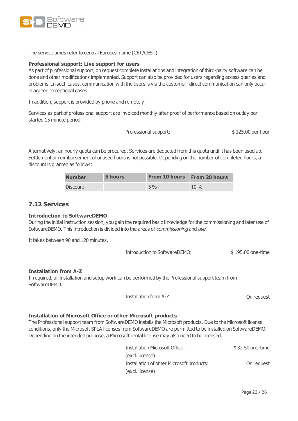

<span id="page-22-0"></span>The service times refer to central European time (CET/CEST).

#### **Professional support: Live support for users**

As part of professional support, on request complete installations and integration of third-party software can be done and other modifications implemented. Support can also be provided for users regarding access queries and problems. In such cases, communication with the users is via the customer; direct communication can only occur in agreed exceptional cases.

In addition, support is provided by phone and remotely.

Services as part of professional support are invoiced monthly after proof of performance based on outlay per started 15 minute period.

Professional support:  $$ 125.00$  per hour

Alternatively, an hourly quota can be procured. Services are deducted from this quota until it has been used up. Settlement or reimbursement of unused hours is not possible. Depending on the number of completed hours, a discount is granted as follows:

| <b>Number</b>   | 5 hours                  | <b>From 10 hours</b> | From 20 hours |
|-----------------|--------------------------|----------------------|---------------|
| <b>Discount</b> | $\overline{\phantom{a}}$ | $5\%$                | $10\%$        |

### <span id="page-22-2"></span><span id="page-22-1"></span>**7.12 Services**

#### **Introduction to SoftwareDEMO**

During the initial instruction session, you gain the required basic knowledge for the commissioning and later use of SoftwareDEMO. This introduction is divided into the areas of commissioning and use.

It takes between 90 and 120 minutes.

| Introduction to SoftwareDEMO: | \$195.00 one-time |
|-------------------------------|-------------------|
|-------------------------------|-------------------|

#### <span id="page-22-3"></span>**Installation from A-Z**

If required, all installation and setup work can be performed by the Professional support team from SoftwareDEMO.

Installation from A-Z: On request

#### <span id="page-22-4"></span>**Installation of Microsoft Office or other Microsoft products**

The Professional support team from SoftwareDEMO installs the Microsoft products. Due to the Microsoft license conditions, only the Microsoft SPLA licenses from SoftwareDEMO are permitted to be installed on SoftwareDEMO. Depending on the intended purpose, a Microsoft rental license may also need to be licensed.

| <b>Installation Microsoft Office:</b>     | \$32.50 one-time |
|-------------------------------------------|------------------|
| (excl. license)                           |                  |
| Installation of other Microsoft products: | On request       |
| (excl. license)                           |                  |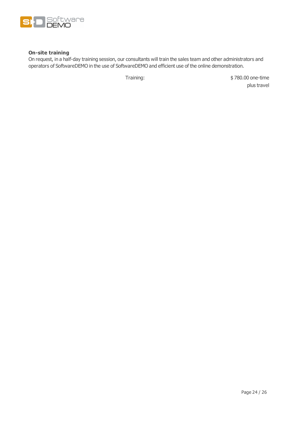

### <span id="page-23-0"></span>**On-site training**

On request, in a half-day training session, our consultants will train the sales team and other administrators and operators of SoftwareDEMO in the use of SoftwareDEMO and efficient use of the online demonstration.

Training:  $$ 780.00$  one-time plus travel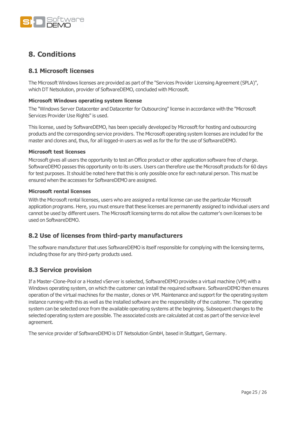

## <span id="page-24-0"></span>**8. Conditions**

### <span id="page-24-1"></span>**8.1 Microsoft licenses**

The Microsoft Windows licenses are provided as part of the "Services Provider Licensing Agreement (SPLA)", which DT Netsolution, provider of SoftwareDEMO, concluded with Microsoft.

### <span id="page-24-2"></span>**Microsoft Windows operating system license**

The "Windows Server Datacenter and Datacenter for Outsourcing" license in accordance with the "Microsoft Services Provider Use Rights" is used.

This license, used by SoftwareDEMO, has been specially developed by Microsoft for hosting and outsourcing products and the corresponding service providers. The Microsoft operating system licenses are included for the master and clones and, thus, for all logged-in users as well as for the for the use of SoftwareDEMO.

### <span id="page-24-3"></span>**Microsoft test licenses**

Microsoft gives all users the opportunity to test an Office product or other application software free of charge. SoftwareDEMO passes this opportunity on to its users. Users can therefore use the Microsoft products for 60 days for test purposes. It should be noted here that this is only possible once for each natural person. This must be ensured when the accesses for SoftwareDEMO are assigned.

#### <span id="page-24-4"></span>**Microsoft rental licenses**

With the Microsoft rental licenses, users who are assigned a rental license can use the particular Microsoft application programs. Here, you must ensure that these licenses are permanently assigned to individual users and cannot be used by different users. The Microsoft licensing terms do not allow the customer's own licenses to be used on SoftwareDEMO.

### <span id="page-24-5"></span>**8.2 Use of licenses from third-party manufacturers**

The software manufacturer that uses SoftwareDEMO is itself responsible for complying with the licensing terms, including those for any third-party products used.

### <span id="page-24-6"></span>**8.3 Service provision**

If a Master-Clone-Pool or a Hosted vServer is selected, SoftwareDEMO provides a virtual machine (VM) with a Windows operating system, on which the customer can install the required software. SoftwareDEMO then ensures operation of the virtual machines for the master, clones or VM. Maintenance and support for the operating system instance running with this as well as the installed software are the responsibility of the customer. The operating system can be selected once from the available operating systems at the beginning. Subsequent changes to the selected operating system are possible. The associated costs are calculated at cost as part of the service level agreement.

The service provider of SoftwareDEMO is DT Netsolution GmbH, based in Stuttgart, Germany.